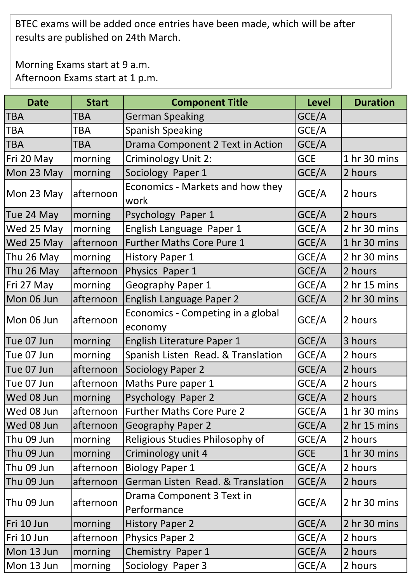BTEC exams will be added once entries have been made, which will be after results are published on 24th March.

Morning Exams start at 9 a.m. Afternoon Exams start at 1 p.m.

| <b>Date</b> | <b>Start</b> | <b>Component Title</b>                       | <b>Level</b> | <b>Duration</b> |
|-------------|--------------|----------------------------------------------|--------------|-----------------|
| TBA         | TBA          | <b>German Speaking</b>                       | GCE/A        |                 |
| <b>TBA</b>  | <b>TBA</b>   | <b>Spanish Speaking</b>                      | GCE/A        |                 |
| <b>TBA</b>  | TBA          | Drama Component 2 Text in Action             | GCE/A        |                 |
| Fri 20 May  | morning      | <b>Criminology Unit 2:</b>                   | <b>GCE</b>   | 1 hr 30 mins    |
| Mon 23 May  | morning      | Sociology Paper 1                            | GCE/A        | 2 hours         |
| Mon 23 May  | afternoon    | Economics - Markets and how they<br>work     | GCE/A        | 2 hours         |
| Tue 24 May  | morning      | Psychology Paper 1                           | GCE/A        | 2 hours         |
| Wed 25 May  | morning      | English Language Paper 1                     | GCE/A        | 2 hr 30 mins    |
| Wed 25 May  | afternoon    | <b>Further Maths Core Pure 1</b>             | GCE/A        | 1 hr 30 mins    |
| Thu 26 May  | morning      | <b>History Paper 1</b>                       | GCE/A        | 2 hr 30 mins    |
| Thu 26 May  | afternoon    | Physics Paper 1                              | GCE/A        | 2 hours         |
| Fri 27 May  | morning      | <b>Geography Paper 1</b>                     | GCE/A        | 2 hr 15 mins    |
| Mon 06 Jun  | afternoon    | English Language Paper 2                     | GCE/A        | 2 hr 30 mins    |
| Mon 06 Jun  | afternoon    | Economics - Competing in a global<br>economy | GCE/A        | 2 hours         |
| Tue 07 Jun  | morning      | English Literature Paper 1                   | GCE/A        | 3 hours         |
| Tue 07 Jun  | morning      | Spanish Listen Read. & Translation           | GCE/A        | 2 hours         |
| Tue 07 Jun  | afternoon    | Sociology Paper 2                            | GCE/A        | 2 hours         |
| Tue 07 Jun  | afternoon    | Maths Pure paper 1                           | GCE/A        | 2 hours         |
| Wed 08 Jun  | morning      | Psychology Paper 2                           | GCE/A        | 2 hours         |
| Wed 08 Jun  | afternoon    | <b>Further Maths Core Pure 2</b>             | GCE/A        | 1 hr 30 mins    |
| Wed 08 Jun  | afternoon    | Geography Paper 2                            | GCE/A        | 2 hr 15 mins    |
| Thu 09 Jun  | morning      | Religious Studies Philosophy of              | GCE/A        | 2 hours         |
| Thu 09 Jun  | morning      | Criminology unit 4                           | <b>GCE</b>   | 1 hr 30 mins    |
| Thu 09 Jun  | afternoon    | <b>Biology Paper 1</b>                       | GCE/A        | 2 hours         |
| Thu 09 Jun  | afternoon    | German Listen Read. & Translation            | GCE/A        | 2 hours         |
| Thu 09 Jun  | afternoon    | Drama Component 3 Text in<br>Performance     | GCE/A        | 2 hr 30 mins    |
| Fri 10 Jun  | morning      | <b>History Paper 2</b>                       | GCE/A        | 2 hr 30 mins    |
| Fri 10 Jun  | afternoon    | <b>Physics Paper 2</b>                       | GCE/A        | 2 hours         |
| Mon 13 Jun  | morning      | Chemistry Paper 1                            | GCE/A        | 2 hours         |
| Mon 13 Jun  | morning      | Sociology Paper 3                            | GCE/A        | 2 hours         |